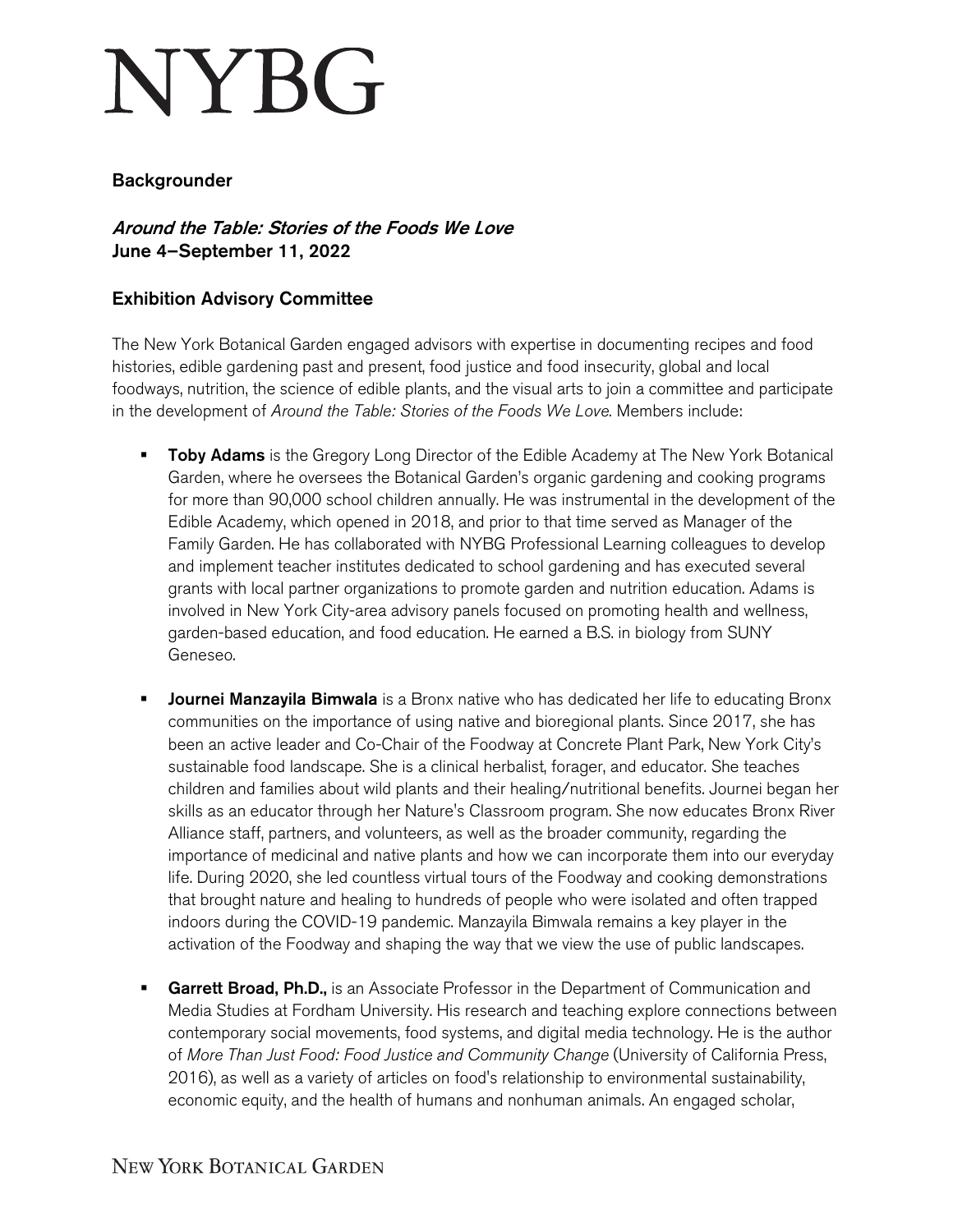## **NYBG**

## Backgrounder

Around the Table: Stories of the Foods We Love June 4–September 11, 2022

## Exhibition Advisory Committee

The New York Botanical Garden engaged advisors with expertise in documenting recipes and food histories, edible gardening past and present, food justice and food insecurity, global and local foodways, nutrition, the science of edible plants, and the visual arts to join a committee and participate in the development of *Around the Table: Stories of the Foods We Love.* Members include:

- Toby Adams is the Gregory Long Director of the Edible Academy at The New York Botanical Garden, where he oversees the Botanical Garden's organic gardening and cooking programs for more than 90,000 school children annually. He was instrumental in the development of the Edible Academy, which opened in 2018, and prior to that time served as Manager of the Family Garden. He has collaborated with NYBG Professional Learning colleagues to develop and implement teacher institutes dedicated to school gardening and has executed several grants with local partner organizations to promote garden and nutrition education. Adams is involved in New York City-area advisory panels focused on promoting health and wellness, garden-based education, and food education. He earned a B.S. in biology from SUNY Geneseo.
- **Journei Manzayila Bimwala** is a Bronx native who has dedicated her life to educating Bronx communities on the importance of using native and bioregional plants. Since 2017, she has been an active leader and Co-Chair of the Foodway at Concrete Plant Park, New York City's sustainable food landscape. She is a clinical herbalist, forager, and educator. She teaches children and families about wild plants and their healing/nutritional benefits. Journei began her skills as an educator through her Nature's Classroom program. She now educates Bronx River Alliance staff, partners, and volunteers, as well as the broader community, regarding the importance of medicinal and native plants and how we can incorporate them into our everyday life. During 2020, she led countless virtual tours of the Foodway and cooking demonstrations that brought nature and healing to hundreds of people who were isolated and often trapped indoors during the COVID-19 pandemic. Manzayila Bimwala remains a key player in the activation of the Foodway and shaping the way that we view the use of public landscapes.
- **Garrett Broad, Ph.D.,** is an Associate Professor in the Department of Communication and Media Studies at Fordham University. His research and teaching explore connections between contemporary social movements, food systems, and digital media technology. He is the author of *More Than Just Food: Food Justice and Community Change* (University of California Press, 2016), as well as a variety of articles on food's relationship to environmental sustainability, economic equity, and the health of humans and nonhuman animals. An engaged scholar,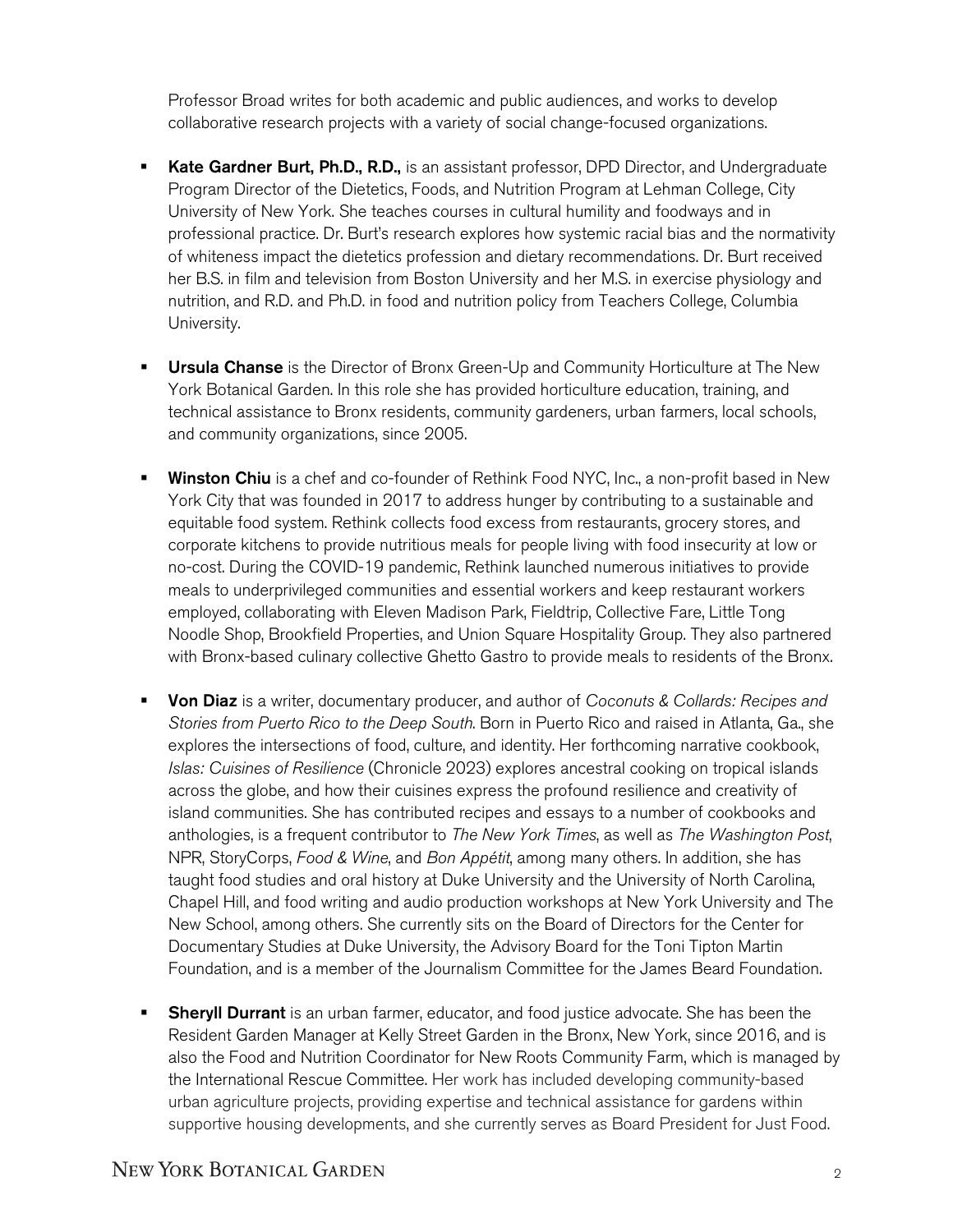Professor Broad writes for both academic and public audiences, and works to develop collaborative research projects with a variety of social change-focused organizations.

- Kate Gardner Burt, Ph.D., R.D., is an assistant professor, DPD Director, and Undergraduate Program Director of the Dietetics, Foods, and Nutrition Program at Lehman College, City University of New York. She teaches courses in cultural humility and foodways and in professional practice. Dr. Burt's research explores how systemic racial bias and the normativity of whiteness impact the dietetics profession and dietary recommendations. Dr. Burt received her B.S. in film and television from Boston University and her M.S. in exercise physiology and nutrition, and R.D. and Ph.D. in food and nutrition policy from Teachers College, Columbia University.
- **Ursula Chanse** is the Director of Bronx Green-Up and Community Horticulture at The New York Botanical Garden. In this role she has provided horticulture education, training, and technical assistance to Bronx residents, community gardeners, urban farmers, local schools, and community organizations, since 2005.
- Winston Chiu is a chef and co-founder of Rethink Food NYC, Inc., a non-profit based in New York City that was founded in 2017 to address hunger by contributing to a sustainable and equitable food system. Rethink collects food excess from restaurants, grocery stores, and corporate kitchens to provide nutritious meals for people living with food insecurity at low or no-cost. During the COVID-19 pandemic, Rethink launched numerous initiatives to provide meals to underprivileged communities and essential workers and keep restaurant workers employed, collaborating with Eleven Madison Park, Fieldtrip, Collective Fare, Little Tong Noodle Shop, Brookfield Properties, and Union Square Hospitality Group. They also partnered with Bronx-based culinary collective Ghetto Gastro to provide meals to residents of the Bronx.
- Von Diaz is a writer, documentary producer, and author of *Coconuts & Collards: Recipes and Stories from Puerto Rico to the Deep South*. Born in Puerto Rico and raised in Atlanta, Ga., she explores the intersections of food, culture, and identity. Her forthcoming narrative cookbook, *Islas: Cuisines of Resilience* (Chronicle 2023) explores ancestral cooking on tropical islands across the globe, and how their cuisines express the profound resilience and creativity of island communities. She has contributed recipes and essays to a number of cookbooks and anthologies, is a frequent contributor to *The New York Times*, as well as *The Washington Post*, NPR, StoryCorps, *Food & Wine*, and *Bon Appétit*, among many others. In addition, she has taught food studies and oral history at Duke University and the University of North Carolina, Chapel Hill, and food writing and audio production workshops at New York University and The New School, among others. She currently sits on the Board of Directors for the Center for Documentary Studies at Duke University, the Advisory Board for the Toni Tipton Martin Foundation, and is a member of the Journalism Committee for the James Beard Foundation.
- **Sheryll Durrant** is an urban farmer, educator, and food justice advocate. She has been the Resident Garden Manager at Kelly Street Garden in the Bronx, New York, since 2016, and is also the Food and Nutrition Coordinator for New Roots Community Farm, which is managed by the International Rescue Committee. Her work has included developing community-based urban agriculture projects, providing expertise and technical assistance for gardens within supportive housing developments, and she currently serves as Board President for Just Food.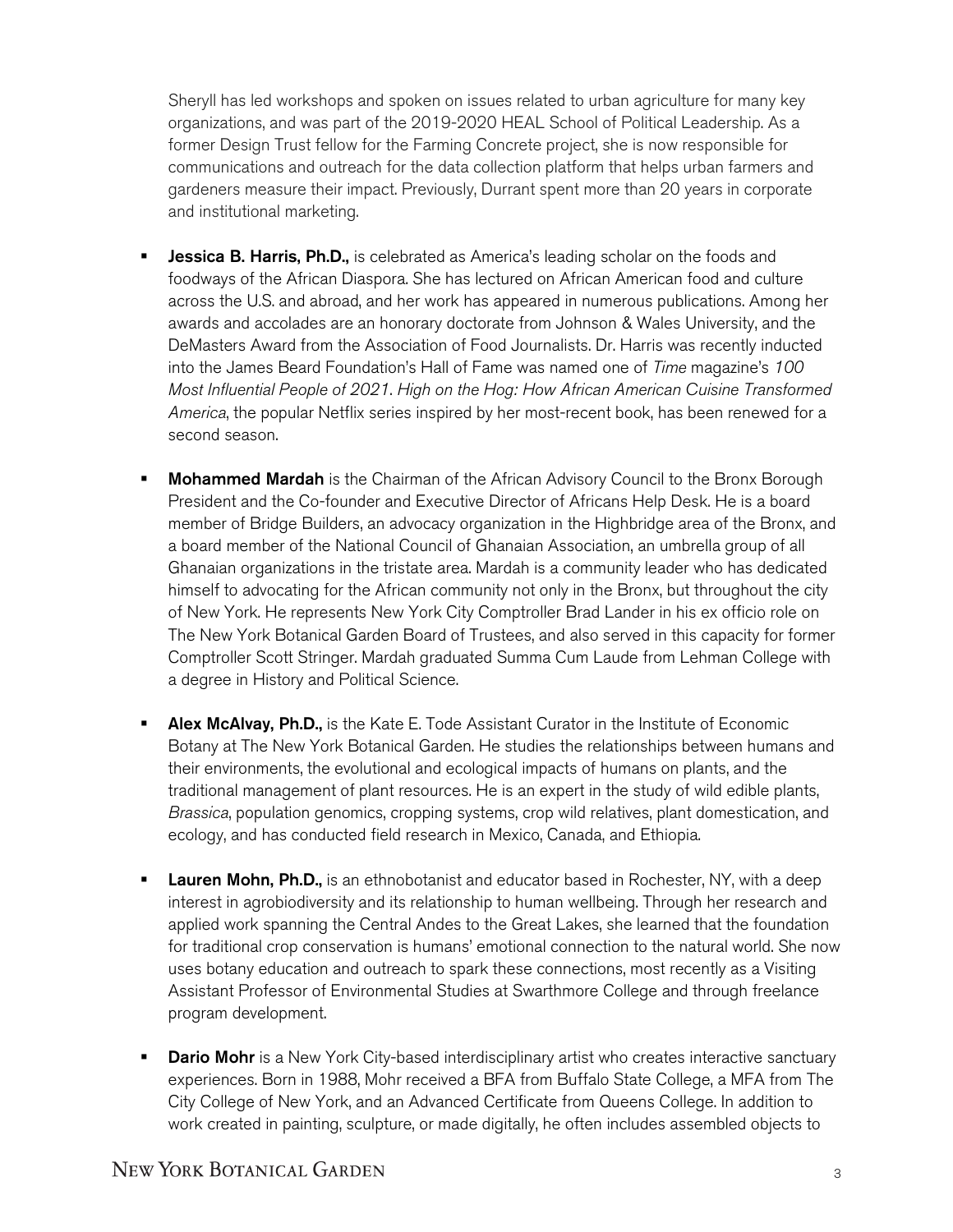Sheryll has led workshops and spoken on issues related to urban agriculture for many key organizations, and was part of the 2019-2020 HEAL School of Political Leadership. As a former Design Trust fellow for the Farming Concrete project, she is now responsible for communications and outreach for the data collection platform that helps urban farmers and gardeners measure their impact. Previously, Durrant spent more than 20 years in corporate and institutional marketing.

- **Jessica B. Harris, Ph.D.,** is celebrated as America's leading scholar on the foods and foodways of the African Diaspora. She has lectured on African American food and culture across the U.S. and abroad, and her work has appeared in numerous publications. Among her awards and accolades are an honorary doctorate from Johnson & Wales University, and the DeMasters Award from the Association of Food Journalists. Dr. Harris was recently inducted into the James Beard Foundation's Hall of Fame was named one of *Time* magazine's *100 Most Influential People of 2021*. *High on the Hog: How African American Cuisine Transformed America*, the popular Netflix series inspired by her most-recent book, has been renewed for a second season.
- **Mohammed Mardah** is the Chairman of the African Advisory Council to the Bronx Borough President and the Co-founder and Executive Director of Africans Help Desk. He is a board member of Bridge Builders, an advocacy organization in the Highbridge area of the Bronx, and a board member of the National Council of Ghanaian Association, an umbrella group of all Ghanaian organizations in the tristate area. Mardah is a community leader who has dedicated himself to advocating for the African community not only in the Bronx, but throughout the city of New York. He represents New York City Comptroller Brad Lander in his ex officio role on The New York Botanical Garden Board of Trustees, and also served in this capacity for former Comptroller Scott Stringer. Mardah graduated Summa Cum Laude from Lehman College with a degree in History and Political Science.
- **Alex McAlvay, Ph.D.,** is the Kate E. Tode Assistant Curator in the Institute of Economic Botany at The New York Botanical Garden. He studies the relationships between humans and their environments, the evolutional and ecological impacts of humans on plants, and the traditional management of plant resources. He is an expert in the study of wild edible plants, *Brassica*, population genomics, cropping systems, crop wild relatives, plant domestication, and ecology, and has conducted field research in Mexico, Canada, and Ethiopia.
- **Lauren Mohn, Ph.D.,** is an ethnobotanist and educator based in Rochester, NY, with a deep interest in agrobiodiversity and its relationship to human wellbeing. Through her research and applied work spanning the Central Andes to the Great Lakes, she learned that the foundation for traditional crop conservation is humans' emotional connection to the natural world. She now uses botany education and outreach to spark these connections, most recently as a Visiting Assistant Professor of Environmental Studies at Swarthmore College and through freelance program development.
- **Dario Mohr** is a New York City-based interdisciplinary artist who creates interactive sanctuary experiences. Born in 1988, Mohr received a BFA from Buffalo State College, a MFA from The City College of New York, and an Advanced Certificate from Queens College. In addition to work created in painting, sculpture, or made digitally, he often includes assembled objects to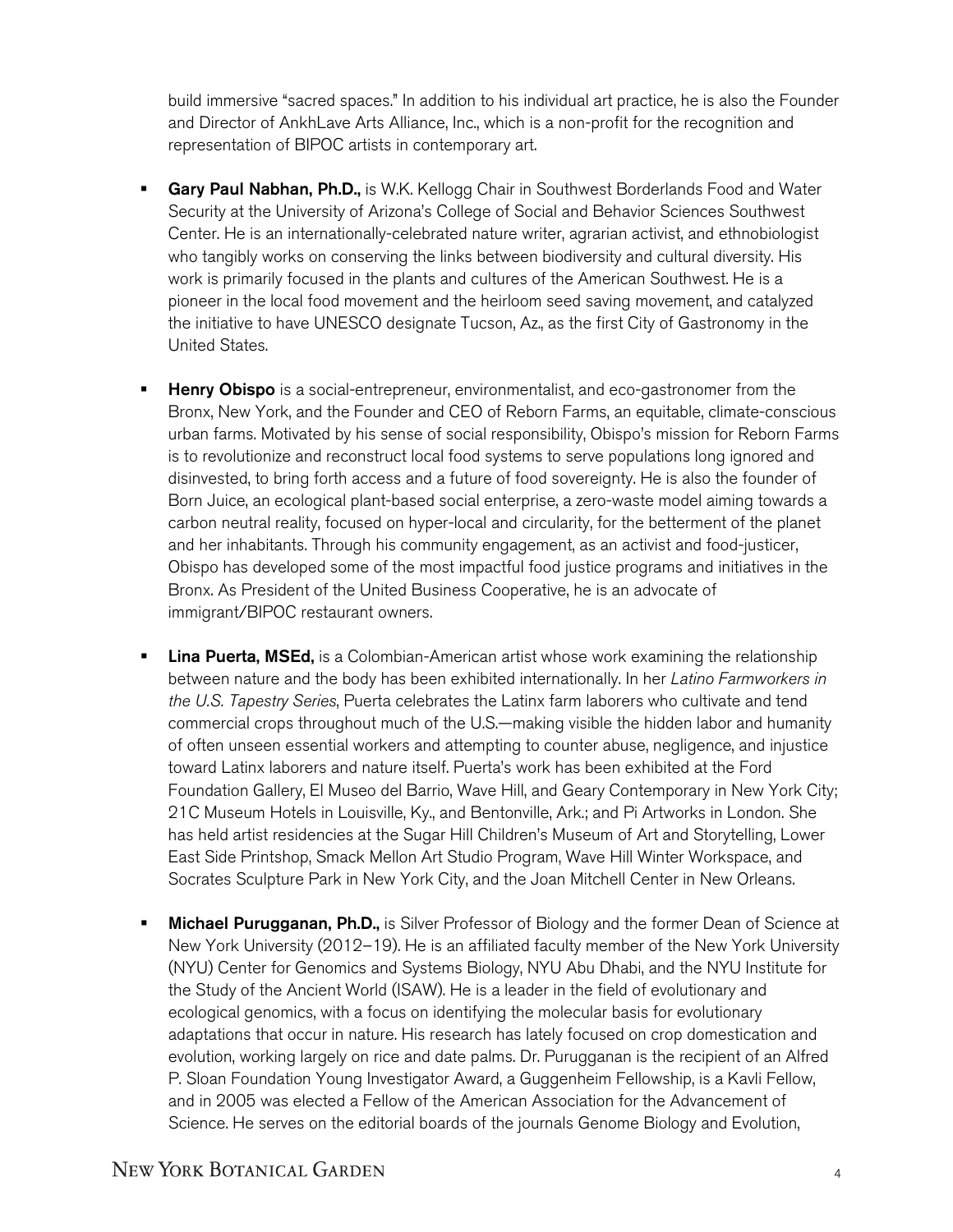build immersive "sacred spaces." In addition to his individual art practice, he is also the Founder and Director of AnkhLave Arts Alliance, Inc., which is a non-profit for the recognition and representation of BIPOC artists in contemporary art.

- Gary Paul Nabhan, Ph.D., is W.K. Kellogg Chair in Southwest Borderlands Food and Water Security at the University of Arizona's College of Social and Behavior Sciences Southwest Center. He is an internationally-celebrated nature writer, agrarian activist, and ethnobiologist who tangibly works on conserving the links between biodiversity and cultural diversity. His work is primarily focused in the plants and cultures of the American Southwest. He is a pioneer in the local food movement and the heirloom seed saving movement, and catalyzed the initiative to have UNESCO designate Tucson, Az., as the first City of Gastronomy in the United States.
- Henry Obispo is a social-entrepreneur, environmentalist, and eco-gastronomer from the Bronx, New York, and the Founder and CEO of Reborn Farms, an equitable, climate-conscious urban farms. Motivated by his sense of social responsibility, Obispo's mission for Reborn Farms is to revolutionize and reconstruct local food systems to serve populations long ignored and disinvested, to bring forth access and a future of food sovereignty. He is also the founder of Born Juice, an ecological plant-based social enterprise, a zero-waste model aiming towards a carbon neutral reality, focused on hyper-local and circularity, for the betterment of the planet and her inhabitants. Through his community engagement, as an activist and food-justicer, Obispo has developed some of the most impactful food justice programs and initiatives in the Bronx. As President of the United Business Cooperative, he is an advocate of immigrant/BIPOC restaurant owners.
- **Lina Puerta, MSEd,** is a Colombian-American artist whose work examining the relationship between nature and the body has been exhibited internationally. In her *Latino Farmworkers in the U.S. Tapestry Series*, Puerta celebrates the Latinx farm laborers who cultivate and tend commercial crops throughout much of the U.S.—making visible the hidden labor and humanity of often unseen essential workers and attempting to counter abuse, negligence, and injustice toward Latinx laborers and nature itself. Puerta's work has been exhibited at the Ford Foundation Gallery, El Museo del Barrio, Wave Hill, and Geary Contemporary in New York City; 21C Museum Hotels in Louisville, Ky., and Bentonville, Ark.; and Pi Artworks in London. She has held artist residencies at the Sugar Hill Children's Museum of Art and Storytelling, Lower East Side Printshop, Smack Mellon Art Studio Program, Wave Hill Winter Workspace, and Socrates Sculpture Park in New York City, and the Joan Mitchell Center in New Orleans.
- Michael Purugganan, Ph.D., is Silver Professor of Biology and the former Dean of Science at New York University (2012–19). He is an affiliated faculty member of the New York University (NYU) Center for Genomics and Systems Biology, NYU Abu Dhabi, and the NYU Institute for the Study of the Ancient World (ISAW). He is a leader in the field of evolutionary and ecological genomics, with a focus on identifying the molecular basis for evolutionary adaptations that occur in nature. His research has lately focused on crop domestication and evolution, working largely on rice and date palms. Dr. Purugganan is the recipient of an Alfred P. Sloan Foundation Young Investigator Award, a Guggenheim Fellowship, is a Kavli Fellow, and in 2005 was elected a Fellow of the American Association for the Advancement of Science. He serves on the editorial boards of the journals Genome Biology and Evolution,